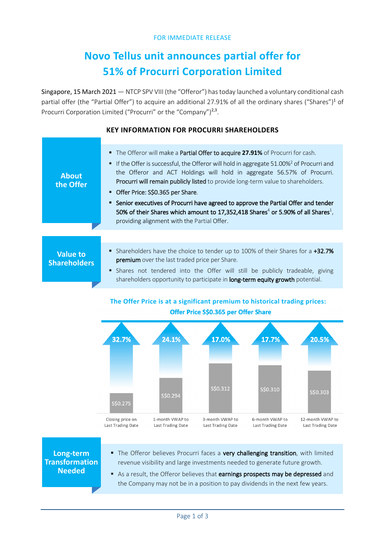#### FOR IMMEDIATE RELEASE

# **Novo Tellus unit announces partial offer for 51% of Procurri Corporation Limited**

Singapore, 15 March 2021 — NTCP SPV VIII (the "Offeror") has today launched a voluntary conditional cash partial offer (the "Partial Offer") to acquire an additional 27.91% of all the ordinary shares ("Shares")<sup>1</sup> of Procurri Corporation Limited ("Procurri" or the "Company")<sup>2,3</sup>.

# **KEY INFORMATION FOR PROCURRI SHAREHOLDERS**

| <b>About</b><br>the Offer              | The Offeror will make a Partial Offer to acquire 27.91% of Procurri for cash.<br>• If the Offer is successful, the Offeror will hold in aggregate 51.00% <sup>2</sup> of Procurri and<br>the Offeror and ACT Holdings will hold in aggregate 56.57% of Procurri.<br>Procurri will remain publicly listed to provide long-term value to shareholders.<br>Offer Price: S\$0.365 per Share.<br>■ Senior executives of Procurri have agreed to approve the Partial Offer and tender<br>50% of their Shares which amount to 17,352,418 Shares <sup>4</sup> or 5.90% of all Shares <sup>1</sup> ,<br>providing alignment with the Partial Offer. |
|----------------------------------------|--------------------------------------------------------------------------------------------------------------------------------------------------------------------------------------------------------------------------------------------------------------------------------------------------------------------------------------------------------------------------------------------------------------------------------------------------------------------------------------------------------------------------------------------------------------------------------------------------------------------------------------------|
|                                        |                                                                                                                                                                                                                                                                                                                                                                                                                                                                                                                                                                                                                                            |
| <b>Value to</b><br><b>Shareholders</b> | Shareholders have the choice to tender up to 100% of their Shares for a +32.7%<br>premium over the last traded price per Share.<br>Shares not tendered into the Offer will still be publicly tradeable, giving<br>shareholders opportunity to participate in long-term equity growth potential.                                                                                                                                                                                                                                                                                                                                            |

# **The Offer Price is at a significant premium to historical trading prices:** Offer Price S\$0.365 per Offer Share



**Long-term Transformation Needed**

- The Offeror believes Procurri faces a very challenging transition, with limited revenue visibility and large investments needed to generate future growth.
- As a result, the Offeror believes that earnings prospects may be depressed and the Company may not be in a position to pay dividends in the next few years.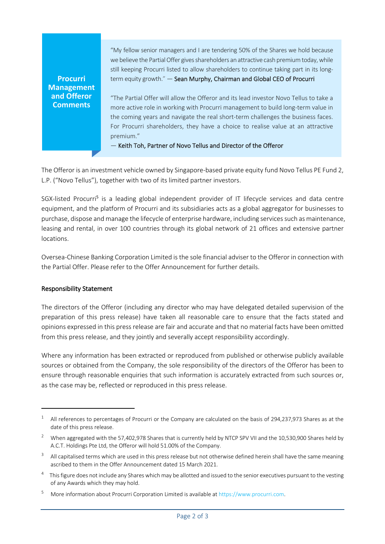**Procurri Management and Offeror Comments**

"My fellow senior managers and I are tendering 50% of the Shares we hold because we believe the Partial Offer gives shareholders an attractive cash premium today, while still keeping Procurri listed to allow shareholders to continue taking part in its longterm equity growth." — Sean Murphy, Chairman and Global CEO of Procurri

"The Partial Offer will allow the Offeror and its lead investor Novo Tellus to take a more active role in working with Procurri management to build long-term value in the coming years and navigate the real short-term challenges the business faces. For Procurri shareholders, they have a choice to realise value at an attractive premium."

— Keith Toh, Partner of Novo Tellus and Director of the Offeror

The Offeror is an investment vehicle owned by Singapore-based private equity fund Novo Tellus PE Fund 2, L.P. ("Novo Tellus"), together with two of its limited partner investors.

SGX-listed Procurri<sup>5</sup> is a leading global independent provider of IT lifecycle services and data centre equipment, and the platform of Procurri and its subsidiaries acts as a global aggregator for businesses to purchase, dispose and manage the lifecycle of enterprise hardware, including services such as maintenance, leasing and rental, in over 100 countries through its global network of 21 offices and extensive partner locations.

Oversea-Chinese Banking Corporation Limited is the sole financial adviser to the Offeror in connection with the Partial Offer. Please refer to the Offer Announcement for further details.

## Responsibility Statement

The directors of the Offeror (including any director who may have delegated detailed supervision of the preparation of this press release) have taken all reasonable care to ensure that the facts stated and opinions expressed in this press release are fair and accurate and that no material facts have been omitted from this press release, and they jointly and severally accept responsibility accordingly.

Where any information has been extracted or reproduced from published or otherwise publicly available sources or obtained from the Company, the sole responsibility of the directors of the Offeror has been to ensure through reasonable enquiries that such information is accurately extracted from such sources or, as the case may be, reflected or reproduced in this press release.

 $1$  All references to percentages of Procurri or the Company are calculated on the basis of 294,237,973 Shares as at the date of this press release.

<sup>&</sup>lt;sup>2</sup> When aggregated with the 57,402,978 Shares that is currently held by NTCP SPV VII and the 10,530,900 Shares held by A.C.T. Holdings Pte Ltd, the Offeror will hold 51.00% of the Company.

All capitalised terms which are used in this press release but not otherwise defined herein shall have the same meaning ascribed to them in the Offer Announcement dated 15 March 2021.

<sup>&</sup>lt;sup>4</sup> This figure does not include any Shares which may be allotted and issued to the senior executives pursuant to the vesting of any Awards which they may hold.

<sup>5</sup> More information about Procurri Corporation Limited is available at https://www.procurri.com.